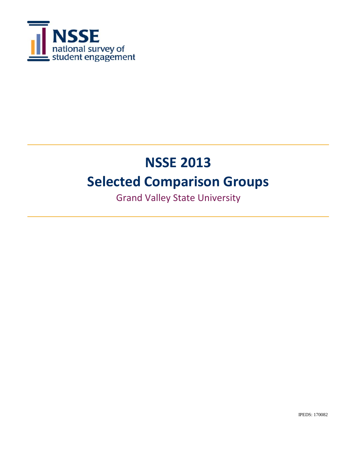

# **NSSE 2013 Selected Comparison Groups**

Grand Valley State University

IPEDS: 170082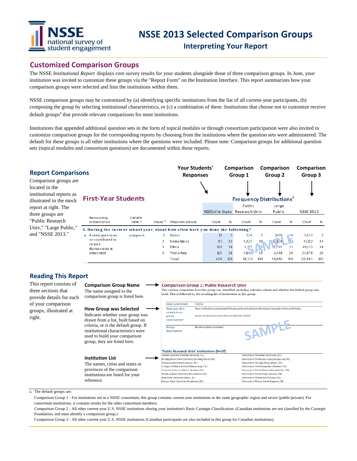

### **Customized Comparison Groups**

The NSSE *Institutional Report* displays core survey results for your students alongside those of three comparison groups. In June, your institution was invited to customize these groups via the "Report Form" on the Institution Interface. This report summarizes how your comparison groups were selected and lists the institutions within them.

NSSE comparison groups may be customized by (a) identifying specific institutions from the list of all current-year participants, (b) composing the group by selecting institutional characteristics, or (c) a combination of these. Institutions that choose not to customize receive default groups<sup>a</sup> that provide relevant comparisons for most institutions.

Institutions that appended additional question sets in the form of topical modules or through consortium participation were also invited to customize comparison groups for the corresponding reports by choosing from the institutions where the question sets were administered. The default for these groups is all other institutions where the questions were included. Please note: Comparison groups for additional question sets (topical modules and consortium questions) are documented within those reports.

| <b>Report Comparisons</b>                                                         |                                                                                                   |          |                     | <b>Your Students'</b><br><b>Responses</b> |       |     | Comparison<br>Group 1                   |            | Comparison<br>Group 2 |     | Comparison<br>Group 3 |     |
|-----------------------------------------------------------------------------------|---------------------------------------------------------------------------------------------------|----------|---------------------|-------------------------------------------|-------|-----|-----------------------------------------|------------|-----------------------|-----|-----------------------|-----|
| Comparison groups are<br>located in the                                           |                                                                                                   |          |                     |                                           |       |     |                                         |            |                       |     |                       |     |
| institutional reports as<br><b>First-Year Students</b><br>illustrated in the mock |                                                                                                   |          |                     |                                           |       |     | <b>Frequency Distributions</b>          |            |                       |     |                       |     |
| report at right. The<br>three groups are                                          | <b>Itemwording</b>                                                                                | Variable |                     |                                           |       |     | Public<br>NSSEville State Research Univ |            | Large<br>Public       |     | <b>NSSE 2013</b>      |     |
| "Public Research<br>Univ," "Large Public,"                                        | or description<br>1. During the current school year, about how often have you done the following? | name c   | Values <sup>d</sup> | Response options                          | Count | 96  | Count                                   | 96         | Count                 | %   | Count                 | 96  |
| and "NSSE 2013."                                                                  | a. A sked questions                                                                               | askquest |                     | Never                                     | 13    |     | 234                                     | 2          | 1029                  |     | 3,632                 | -3  |
|                                                                                   | or contributed to                                                                                 |          |                     | Sometimes                                 | 151   | 33  | 4,325                                   | 30         | $L$ 8 8               | 33  | 41,152                | 34  |
|                                                                                   | course.<br>discussions in                                                                         |          |                     | Often                                     | 150   | 36  | 5,17                                    | $\sqrt{5}$ | 3,705                 | 35  | 41523                 | 34  |
|                                                                                   | o the r ways                                                                                      |          | 4                   | Very often                                | 120   | 28  | 4,855                                   | 33         | 11448                 | 29  | 34,678                | 29  |
|                                                                                   |                                                                                                   |          |                     | Total                                     | 434   | 100 | 14,551                                  | 100        | 39,080                | 100 | 120,985               | 100 |

#### **Reading This Report**

This report consists of **Comparison Group Name Comparison Group 1: Public Research Univ** This section summarizes how this group was identified, including selection criteria and whether the default group was<br>used. This is followed by the resulting list of institutions in this group. three sections that The name assigned to the comparison group is listed here. provide details for each of your comparison Date submitted  $7/2/13$ **How Group was Selected** How was this Your institution customized this group by selecting institutional characteristics as follows: groups, illustrated at comparison Indicates whether your group was Sector (Pub); Basic Classification (RU/VH, RU/H)  $eroup$ right. constructed? drawn from a list, built based on SAMPL criteria, or is the default group. If Group No description provided institutional characteristics were description used to build your comparison group, they are listed here. 'Public Research Univ' institutions (N=57) University of Montana (Missoula, MT) Aubum University (Aubum University, AL) **Institution List** Bowling Green State University (Bowling Green, OH) University of Nebraska at Lincoln (Lincoln, NE) University of Nevada, Reno (Reno, NV) Clemson University (Clemson, SC) The names, cities and states or College of William & Mary (Williamsburg, VA) University of New Hampshire (Durham, NH) provinces of the comparison Colorado School of Mines (Golden, CO .<br>University of North Dakota (Grand Forks, ND) Florida Atlantic University (Boca Raton, FL) University of North Texas (Denton, TX) institutions are listed for your lowa State University (Ames, IA) University of Oklahoma (Norman, OK) reference.Kansas State University (Manhattan, KS) University of Rhode Island (Kingston, RI)

a. The default groups are:

Comparison Group 1 - For institutions not in a NSSE consortium, this group contains current-year institutions in the same geographic region and sector (public/private). For consortium institutions, it contains results for the other consortium members.

Comparison Group 2 - All other current-year U.S. NSSE institutions sharing your institution's Basic Carnegie Classification. (Canadian institutions are not classified by the Carnegie Foundation, and must identify a comparison group.)

Comparison Group 3 - All other current-year U.S. NSSE institutions (Canadian participants are also included in this group for Canadian institutions).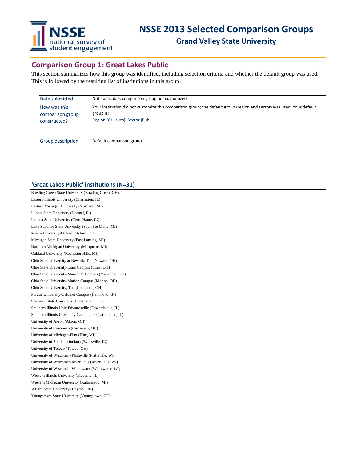

## **Comparison Group 1: Great Lakes Public**

This section summarizes how this group was identified, including selection criteria and whether the default group was used. This is followed by the resulting list of institutions in this group.

| Date submitted                                   | Not applicable; comparison group not customized.                                                                                                                       |
|--------------------------------------------------|------------------------------------------------------------------------------------------------------------------------------------------------------------------------|
| How was this<br>comparison group<br>constructed? | Your institution did not customize this comparison group; the default group (region and sector) was used. Your default<br>group is:<br>Region (Gr Lakes); Sector (Pub) |
| Group description                                | Default comparison group                                                                                                                                               |

#### **'Great Lakes Public' institutions (N=31)**

Bowling Green State University (Bowling Green, OH) Eastern Illinois University (Charleston, IL) Eastern Michigan University (Ypsilanti, MI) Illinois State University (Normal, IL) Indiana State University (Terre Haute, IN) Lake Superior State University (Sault Ste Marie, MI) Miami University-Oxford (Oxford, OH) Michigan State University (East Lansing, MI) Northern Michigan University (Marquette, MI) Oakland University (Rochester Hills, MI) Ohio State University at Newark, The (Newark, OH) Ohio State University-Lima Campus (Lima, OH) Ohio State University-Mansfield Campus (Mansfield, OH) Ohio State University-Marion Campus (Marion, OH) Ohio State University, The (Columbus, OH) Purdue University-Calumet Campus (Hammond, IN) Shawnee State University (Portsmouth, OH) Southern Illinois Univ Edwardsville (Edwardsville, IL) Southern Illinois University Carbondale (Carbondale, IL) University of Akron (Akron, OH) University of Cincinnati (Cincinnati, OH) University of Michigan-Flint (Flint, MI) University of Southern Indiana (Evansville, IN) University of Toledo (Toledo, OH) University of Wisconsin-Platteville (Platteville, WI) University of Wisconsin-River Falls (River Falls, WI) University of Wisconsin-Whitewater (Whitewater, WI) Western Illinois University (Macomb, IL) Western Michigan University (Kalamazoo, MI) Wright State University (Dayton, OH) Youngstown State University (Youngstown, OH)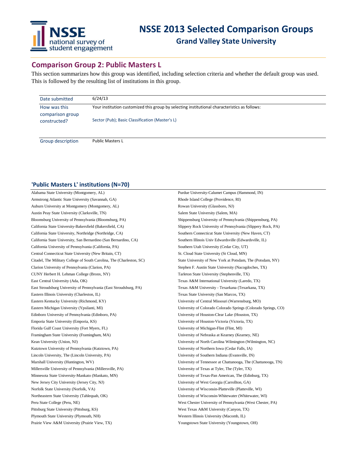

## **Comparison Group 2: Public Masters L**

This section summarizes how this group was identified, including selection criteria and whether the default group was used. This is followed by the resulting list of institutions in this group.

| Date submitted                   | 6/24/13                                                                                       |  |
|----------------------------------|-----------------------------------------------------------------------------------------------|--|
| How was this<br>comparison group | Your institution customized this group by selecting institutional characteristics as follows: |  |
| constructed?                     | Sector (Pub); Basic Classification (Master's L)                                               |  |
| Group description                | <b>Public Masters L</b>                                                                       |  |

#### **'Public Masters L' institutions (N=70)**

| Alabama State University (Montgomery, AL)                             | Purdue University-Calumet Campus (Hammond, IN)                 |
|-----------------------------------------------------------------------|----------------------------------------------------------------|
| Armstrong Atlantic State University (Savannah, GA)                    | Rhode Island College (Providence, RI)                          |
| Auburn University at Montgomery (Montgomery, AL)                      | Rowan University (Glassboro, NJ)                               |
| Austin Peay State University (Clarksville, TN)                        | Salem State University (Salem, MA)                             |
| Bloomsburg University of Pennsylvania (Bloomsburg, PA)                | Shippensburg University of Pennsylvania (Shippensburg, PA)     |
| California State University-Bakersfield (Bakersfield, CA)             | Slippery Rock University of Pennsylvania (Slippery Rock, PA)   |
| California State University, Northridge (Northridge, CA)              | Southern Connecticut State University (New Haven, CT)          |
| California State University, San Bernardino (San Bernardino, CA)      | Southern Illinois Univ Edwardsville (Edwardsville, IL)         |
| California University of Pennsylvania (California, PA)                | Southern Utah University (Cedar City, UT)                      |
| Central Connecticut State University (New Britain, CT)                | St. Cloud State University (St Cloud, MN)                      |
| Citadel, The Military College of South Carolina, The (Charleston, SC) | State University of New York at Potsdam, The (Potsdam, NY)     |
| Clarion University of Pennsylvania (Clarion, PA)                      | Stephen F. Austin State University (Nacogdoches, TX)           |
| CUNY Herbert H. Lehman College (Bronx, NY)                            | Tarleton State University (Stephenville, TX)                   |
| East Central University (Ada, OK)                                     | Texas A&M International University (Laredo, TX)                |
| East Stroudsburg University of Pennsylvania (East Stroudsburg, PA)    | Texas A&M University - Texarkana (Texarkana, TX)               |
| Eastern Illinois University (Charleston, IL)                          | Texas State University (San Marcos, TX)                        |
| Eastern Kentucky University (Richmond, KY)                            | University of Central Missouri (Warrensburg, MO)               |
| Eastern Michigan University (Ypsilanti, MI)                           | University of Colorado Colorado Springs (Colorado Springs, CO) |
| Edinboro University of Pennsylvania (Edinboro, PA)                    | University of Houston-Clear Lake (Houston, TX)                 |
| Emporia State University (Emporia, KS)                                | University of Houston-Victoria (Victoria, TX)                  |
| Florida Gulf Coast University (Fort Myers, FL)                        | University of Michigan-Flint (Flint, MI)                       |
| Framingham State University (Framingham, MA)                          | University of Nebraska at Kearney (Kearney, NE)                |
| Kean University (Union, NJ)                                           | University of North Carolina Wilmington (Wilmington, NC)       |
| Kutztown University of Pennsylvania (Kutztown, PA)                    | University of Northern Iowa (Cedar Falls, IA)                  |
| Lincoln University, The (Lincoln University, PA)                      | University of Southern Indiana (Evansville, IN)                |
| Marshall University (Huntington, WV)                                  | University of Tennessee at Chattanooga, The (Chattanooga, TN)  |
| Millersville University of Pennsylvania (Millersville, PA)            | University of Texas at Tyler, The (Tyler, TX)                  |
| Minnesota State University-Mankato (Mankato, MN)                      | University of Texas-Pan American, The (Edinburg, TX)           |
| New Jersey City University (Jersey City, NJ)                          | University of West Georgia (Carrollton, GA)                    |
| Norfolk State University (Norfolk, VA)                                | University of Wisconsin-Platteville (Platteville, WI)          |
| Northeastern State University (Tahlequah, OK)                         | University of Wisconsin-Whitewater (Whitewater, WI)            |
| Peru State College (Peru, NE)                                         | West Chester University of Pennsylvania (West Chester, PA)     |
| Pittsburg State University (Pittsburg, KS)                            | West Texas A&M University (Canyon, TX)                         |
| Plymouth State University (Plymouth, NH)                              | Western Illinois University (Macomb, IL)                       |
| Prairie View A&M University (Prairie View, TX)                        | Youngstown State University (Youngstown, OH)                   |